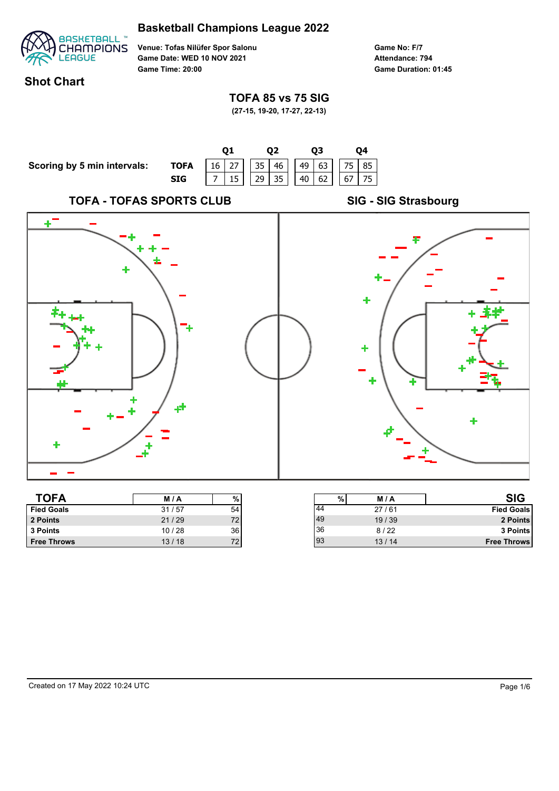# **Basketball Champions League 2022**



**Venue: Tofas Nilüfer Spor Salonu Game Date: WED 10 NOV 2021 Game Time: 20:00**

**Game No: F/7 Game Duration: 01:45 Attendance: 794**

93 13 / 14 **Free Throws**

## **Shot Chart**

## **TOFA 85 vs 75 SIG**

**(27-15, 19-20, 17-27, 22-13)**



**Free Throws** 22 13/18 72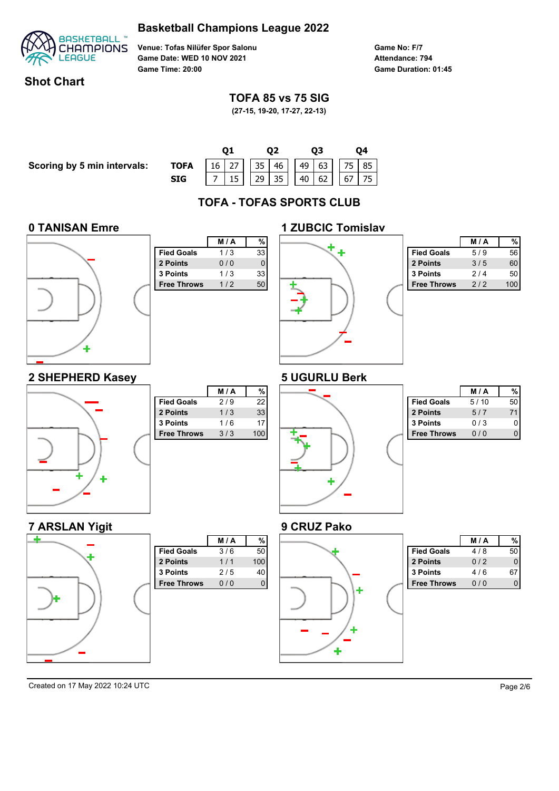



**Game No: F/7 Game Duration: 01:45 Attendance: 794**

## **Shot Chart**

## **TOFA 85 vs 75 SIG**

**(27-15, 19-20, 17-27, 22-13)**

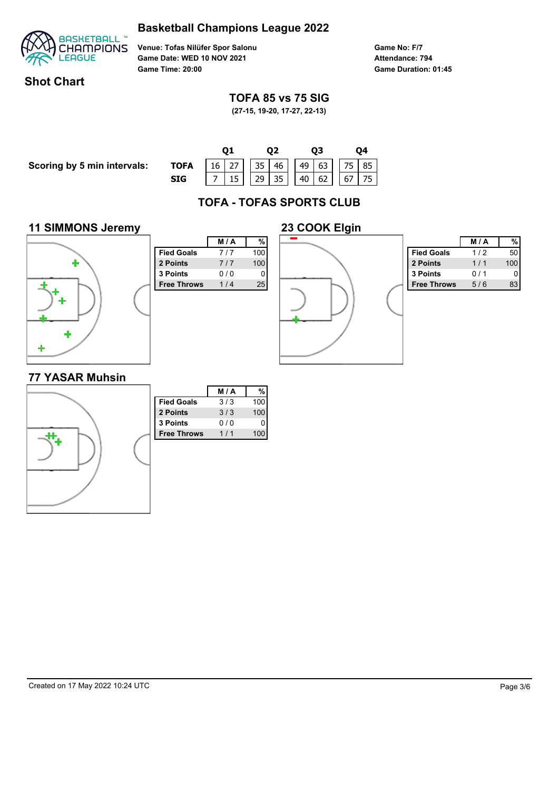



**Game No: F/7 Game Duration: 01:45 Attendance: 794**

## **Shot Chart**

## **TOFA 85 vs 75 SIG**

**(27-15, 19-20, 17-27, 22-13)**

**Scoring by 5 min intervals:** 

|             |  |  |                                          |  | 03 |  |  |  |  |
|-------------|--|--|------------------------------------------|--|----|--|--|--|--|
| <b>TOFA</b> |  |  | $16$ 27 35 46 49 63 75 85                |  |    |  |  |  |  |
| <b>SIG</b>  |  |  | $7   15   29   35   40   62   67   75  $ |  |    |  |  |  |  |

# **TOFA - TOFAS SPORTS CLUB**

### **11 SIMMONS Jeremy**



|                    | M/A | %   |
|--------------------|-----|-----|
| <b>Fied Goals</b>  | 7/7 | 100 |
| 2 Points           | 7/7 | 100 |
| 3 Points           | 0/0 | 0   |
| <b>Free Throws</b> | 1/4 | 25  |
|                    |     |     |
|                    |     |     |
|                    |     |     |
|                    |     |     |
|                    |     |     |
|                    |     |     |
|                    |     |     |



|                    | M / A |     |
|--------------------|-------|-----|
| <b>Fied Goals</b>  | 1/2   | 50  |
| 2 Points           | 1/1   | 100 |
| 3 Points           | 0/1   |     |
| <b>Free Throws</b> | 5/6   |     |

### **77 YASAR Muhsin**

|                    | M/A | %   |
|--------------------|-----|-----|
| <b>Fied Goals</b>  | 3/3 | 100 |
| 2 Points           | 3/3 | 100 |
| 3 Points           | 0/0 | 0   |
| <b>Free Throws</b> | 1/1 | 100 |
|                    |     |     |
|                    |     |     |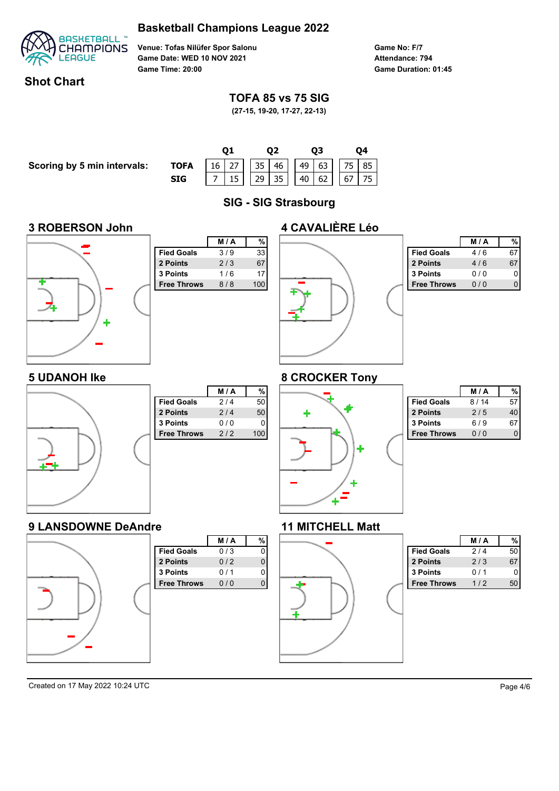



**Game No: F/7 Game Duration: 01:45 Attendance: 794**

## **Shot Chart**

## **TOFA 85 vs 75 SIG**

**(27-15, 19-20, 17-27, 22-13)**

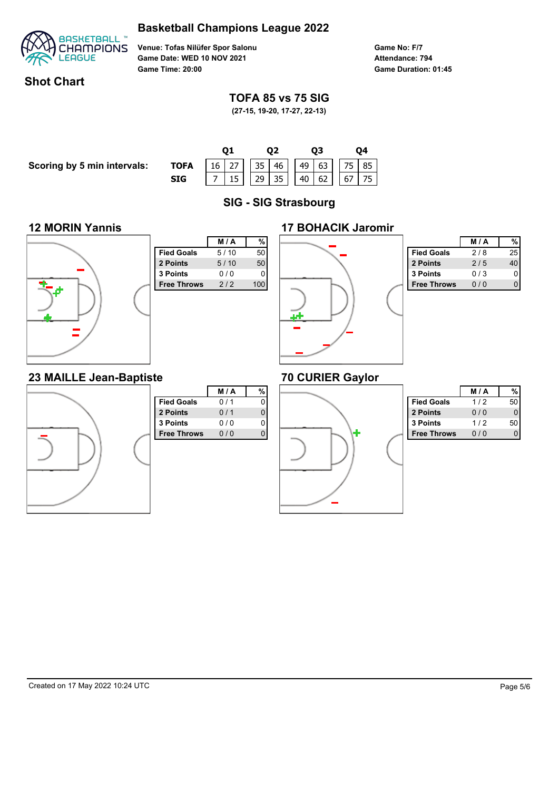



**Game No: F/7 Game Duration: 01:45 Attendance: 794**

## **Shot Chart**

## **TOFA 85 vs 75 SIG**

**(27-15, 19-20, 17-27, 22-13)**

**Scoring by 5 min intervals:** 

|             |  |  | 02 |  |  | 03 |  |  |                         |  |  |
|-------------|--|--|----|--|--|----|--|--|-------------------------|--|--|
| <b>TOFA</b> |  |  |    |  |  |    |  |  | 16 27 35 46 49 63 75 85 |  |  |
| SIG         |  |  |    |  |  |    |  |  |                         |  |  |

**SIG - SIG Strasbourg**

## **12 MORIN Yannis**



|                    | M/A  | %   |
|--------------------|------|-----|
| <b>Fied Goals</b>  | 5/10 | 50  |
| 2 Points           | 5/10 | 50  |
| 3 Points           | 0/0  | 0   |
| <b>Free Throws</b> | 2/2  | 100 |
|                    |      |     |
|                    |      |     |
|                    |      |     |
|                    |      |     |
|                    |      |     |
|                    |      |     |



|                    | <b>M/A</b> |    |
|--------------------|------------|----|
| <b>Fied Goals</b>  | 2/8        | 25 |
| 2 Points           | 2/5        |    |
| <b>3 Points</b>    | 0/3        |    |
| <b>Free Throws</b> | 0/0        |    |

# **70 CURIER Gaylor**



|                    | M/A | %        |
|--------------------|-----|----------|
| <b>Fied Goals</b>  | 0/1 |          |
| 2 Points           | 0/1 | $\Omega$ |
| 3 Points           | 0/0 | 0        |
| <b>Free Throws</b> | 0/0 |          |
|                    |     |          |
|                    |     |          |
|                    |     |          |
|                    |     |          |
|                    |     |          |

|                    | M / A    |  |
|--------------------|----------|--|
| <b>Fied Goals</b>  | 1/2      |  |
| 2 Points           | 0/0      |  |
| 3 Points           | 1/2      |  |
| <b>Free Throws</b> | $\Omega$ |  |